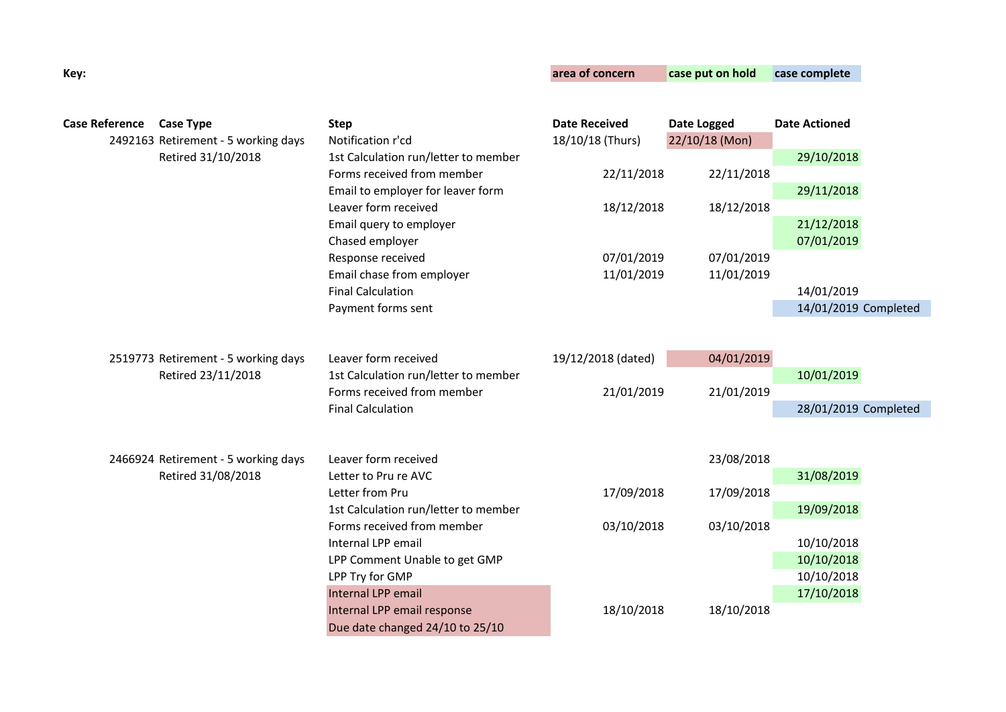| Key:                  |                                     |                                                                    | area of concern      | case put on hold | case complete        |
|-----------------------|-------------------------------------|--------------------------------------------------------------------|----------------------|------------------|----------------------|
|                       |                                     |                                                                    |                      |                  |                      |
| <b>Case Reference</b> | <b>Case Type</b>                    | <b>Step</b>                                                        | <b>Date Received</b> | Date Logged      | <b>Date Actioned</b> |
|                       | 2492163 Retirement - 5 working days | Notification r'cd                                                  | 18/10/18 (Thurs)     | 22/10/18 (Mon)   |                      |
|                       | Retired 31/10/2018                  | 1st Calculation run/letter to member<br>Forms received from member |                      |                  | 29/10/2018           |
|                       |                                     | Email to employer for leaver form                                  | 22/11/2018           | 22/11/2018       | 29/11/2018           |
|                       |                                     | Leaver form received                                               | 18/12/2018           | 18/12/2018       |                      |
|                       |                                     | Email query to employer                                            |                      |                  | 21/12/2018           |
|                       |                                     | Chased employer                                                    |                      |                  | 07/01/2019           |
|                       |                                     | Response received                                                  | 07/01/2019           | 07/01/2019       |                      |
|                       |                                     | Email chase from employer                                          | 11/01/2019           | 11/01/2019       |                      |
|                       |                                     | <b>Final Calculation</b>                                           |                      |                  | 14/01/2019           |
|                       |                                     | Payment forms sent                                                 |                      |                  | 14/01/2019 Completed |
|                       |                                     |                                                                    |                      |                  |                      |
|                       | 2519773 Retirement - 5 working days | Leaver form received                                               | 19/12/2018 (dated)   | 04/01/2019       |                      |
|                       | Retired 23/11/2018                  | 1st Calculation run/letter to member                               |                      |                  | 10/01/2019           |
|                       |                                     | Forms received from member                                         | 21/01/2019           | 21/01/2019       |                      |
|                       |                                     | <b>Final Calculation</b>                                           |                      |                  | 28/01/2019 Completed |
|                       |                                     |                                                                    |                      |                  |                      |
|                       | 2466924 Retirement - 5 working days | Leaver form received                                               |                      | 23/08/2018       |                      |
|                       | Retired 31/08/2018                  | Letter to Pru re AVC                                               |                      |                  | 31/08/2019           |
|                       |                                     | Letter from Pru                                                    | 17/09/2018           | 17/09/2018       |                      |
|                       |                                     | 1st Calculation run/letter to member                               |                      |                  | 19/09/2018           |
|                       |                                     | Forms received from member                                         | 03/10/2018           | 03/10/2018       |                      |
|                       |                                     | Internal LPP email                                                 |                      |                  | 10/10/2018           |
|                       |                                     | LPP Comment Unable to get GMP                                      |                      |                  | 10/10/2018           |
|                       |                                     | LPP Try for GMP                                                    |                      |                  | 10/10/2018           |
|                       |                                     | <b>Internal LPP email</b>                                          |                      |                  | 17/10/2018           |
|                       |                                     | Internal LPP email response                                        | 18/10/2018           | 18/10/2018       |                      |
|                       |                                     | Due date changed 24/10 to 25/10                                    |                      |                  |                      |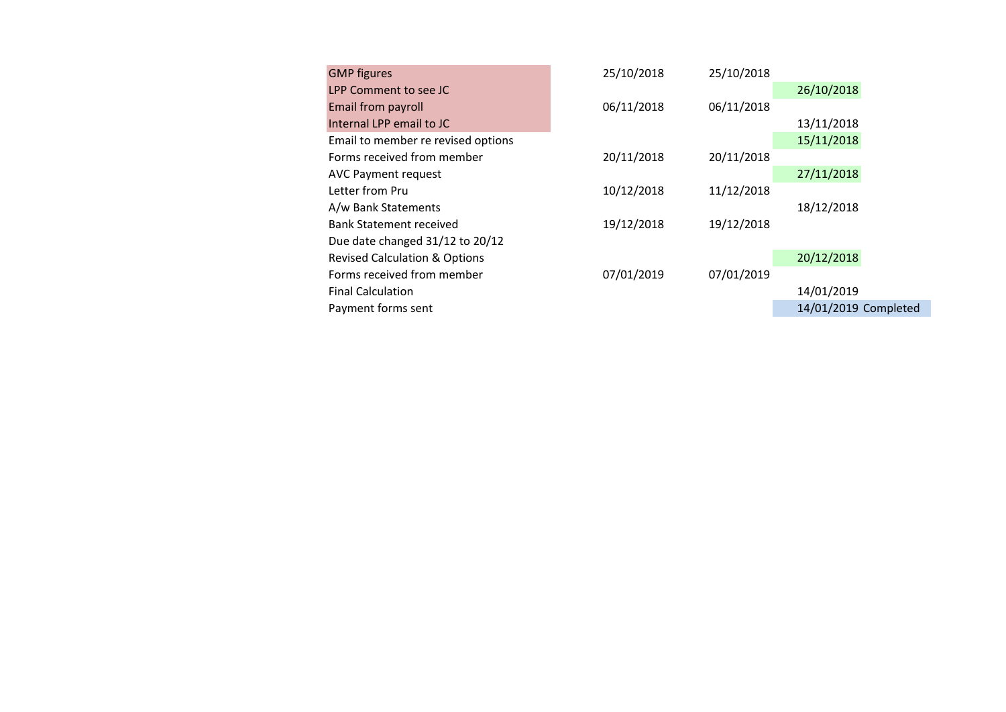| <b>GMP</b> figures                       | 25/10/2018 | 25/10/2018 |                      |
|------------------------------------------|------------|------------|----------------------|
| LPP Comment to see JC                    |            |            | 26/10/2018           |
| Email from payroll                       | 06/11/2018 | 06/11/2018 |                      |
| Internal LPP email to JC                 |            |            | 13/11/2018           |
| Email to member re revised options       |            |            | 15/11/2018           |
| Forms received from member               | 20/11/2018 | 20/11/2018 |                      |
| <b>AVC Payment request</b>               |            |            | 27/11/2018           |
| Letter from Pru                          | 10/12/2018 | 11/12/2018 |                      |
| A/w Bank Statements                      |            |            | 18/12/2018           |
| <b>Bank Statement received</b>           | 19/12/2018 | 19/12/2018 |                      |
| Due date changed 31/12 to 20/12          |            |            |                      |
| <b>Revised Calculation &amp; Options</b> |            |            | 20/12/2018           |
| Forms received from member               | 07/01/2019 | 07/01/2019 |                      |
| <b>Final Calculation</b>                 |            |            | 14/01/2019           |
| Payment forms sent                       |            |            | 14/01/2019 Completed |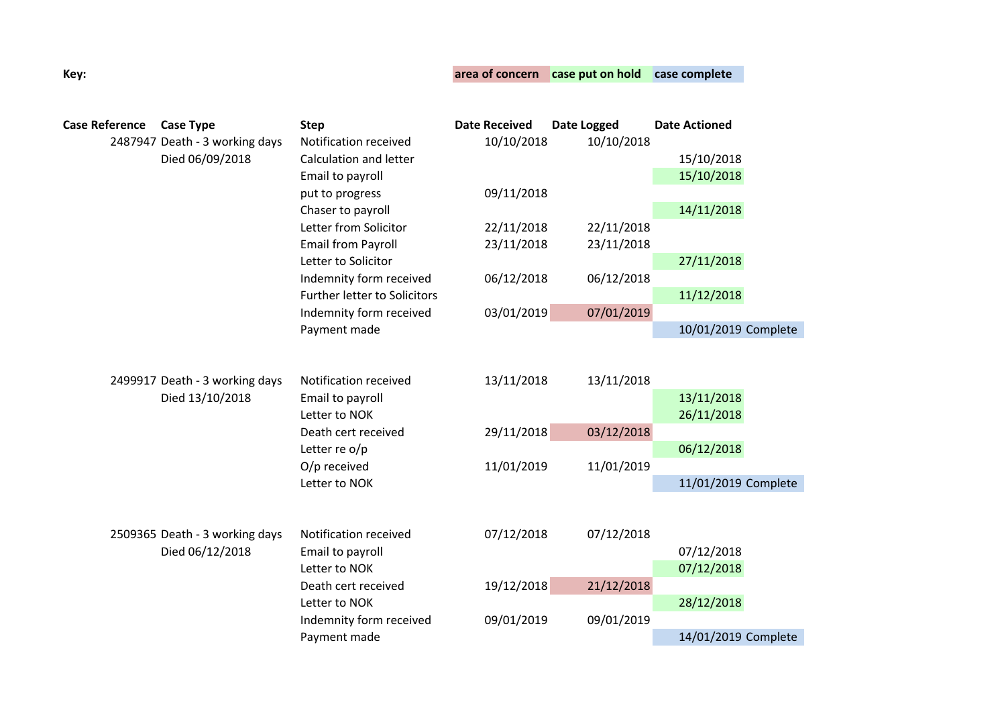## **Key: area of concern case put on hold case complete**

| <b>Case Reference</b> | <b>Case Type</b><br>2487947 Death - 3 working days | <b>Step</b><br>Notification received                                                                                 | <b>Date Received</b><br>10/10/2018 | Date Logged<br>10/10/2018 | <b>Date Actioned</b>     |  |
|-----------------------|----------------------------------------------------|----------------------------------------------------------------------------------------------------------------------|------------------------------------|---------------------------|--------------------------|--|
|                       | Died 06/09/2018                                    | Calculation and letter<br>Email to payroll                                                                           |                                    |                           | 15/10/2018               |  |
|                       |                                                    |                                                                                                                      |                                    |                           | 15/10/2018               |  |
|                       |                                                    | put to progress                                                                                                      | 09/11/2018                         |                           |                          |  |
|                       |                                                    | Chaser to payroll                                                                                                    |                                    |                           | 14/11/2018               |  |
|                       |                                                    | Letter from Solicitor                                                                                                | 22/11/2018                         | 22/11/2018                |                          |  |
|                       |                                                    | <b>Email from Payroll</b>                                                                                            | 23/11/2018                         | 23/11/2018                |                          |  |
|                       |                                                    | Letter to Solicitor                                                                                                  |                                    |                           | 27/11/2018               |  |
|                       |                                                    | Indemnity form received                                                                                              | 06/12/2018                         | 06/12/2018                |                          |  |
|                       |                                                    | Further letter to Solicitors                                                                                         |                                    |                           | 11/12/2018               |  |
|                       |                                                    | Indemnity form received                                                                                              | 03/01/2019                         | 07/01/2019                |                          |  |
|                       |                                                    | Payment made                                                                                                         |                                    |                           | 10/01/2019 Complete      |  |
|                       | 2499917 Death - 3 working days<br>Died 13/10/2018  | Notification received<br>Email to payroll<br>Letter to NOK<br>Death cert received<br>Letter re o/p<br>O/p received   | 13/11/2018<br>29/11/2018           | 13/11/2018<br>03/12/2018  | 13/11/2018<br>26/11/2018 |  |
|                       |                                                    |                                                                                                                      |                                    |                           | 06/12/2018               |  |
|                       |                                                    |                                                                                                                      | 11/01/2019                         | 11/01/2019                |                          |  |
|                       | 2509365 Death - 3 working days                     | Letter to NOK<br>Notification received                                                                               | 07/12/2018                         | 07/12/2018                | 11/01/2019 Complete      |  |
|                       | Died 06/12/2018                                    | Email to payroll<br>Letter to NOK<br>Death cert received<br>Letter to NOK<br>Indemnity form received<br>Payment made |                                    |                           | 07/12/2018               |  |
|                       |                                                    |                                                                                                                      |                                    |                           | 07/12/2018               |  |
|                       |                                                    |                                                                                                                      | 19/12/2018                         | 21/12/2018                |                          |  |
|                       |                                                    |                                                                                                                      |                                    |                           | 28/12/2018               |  |
|                       |                                                    |                                                                                                                      | 09/01/2019                         | 09/01/2019                |                          |  |
|                       |                                                    |                                                                                                                      |                                    |                           | 14/01/2019 Complete      |  |
|                       |                                                    |                                                                                                                      |                                    |                           |                          |  |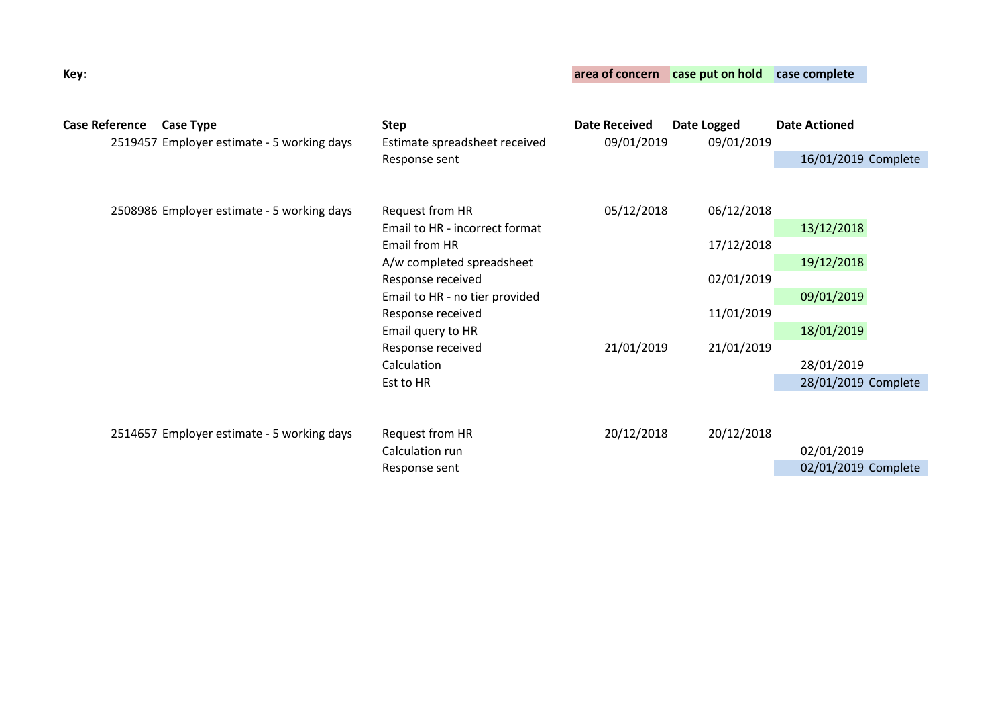| <b>Case Reference</b> |  | <b>Case Type</b><br>2519457 Employer estimate - 5 working days | <b>Step</b><br>Estimate spreadsheet received<br>Response sent | <b>Date Received</b><br>09/01/2019 | Date Logged<br>09/01/2019 | <b>Date Actioned</b> |
|-----------------------|--|----------------------------------------------------------------|---------------------------------------------------------------|------------------------------------|---------------------------|----------------------|
|                       |  |                                                                |                                                               |                                    |                           | 16/01/2019 Complete  |
|                       |  |                                                                |                                                               |                                    |                           |                      |
|                       |  | 2508986 Employer estimate - 5 working days                     | Request from HR                                               | 05/12/2018                         | 06/12/2018                |                      |
|                       |  |                                                                | Email to HR - incorrect format                                |                                    |                           | 13/12/2018           |
|                       |  |                                                                | Email from HR                                                 |                                    | 17/12/2018                |                      |
|                       |  |                                                                | A/w completed spreadsheet                                     |                                    |                           | 19/12/2018           |
|                       |  |                                                                | Response received                                             |                                    | 02/01/2019<br>11/01/2019  |                      |
|                       |  |                                                                | Email to HR - no tier provided                                |                                    |                           | 09/01/2019           |
|                       |  |                                                                | Response received                                             |                                    |                           |                      |
|                       |  |                                                                | Email query to HR                                             |                                    |                           | 18/01/2019           |
|                       |  |                                                                | Response received                                             | 21/01/2019                         | 21/01/2019                |                      |
|                       |  |                                                                | Calculation                                                   |                                    |                           | 28/01/2019           |
|                       |  |                                                                | Est to HR                                                     |                                    |                           | 28/01/2019 Complete  |
|                       |  | 2514657 Employer estimate - 5 working days                     | Request from HR                                               | 20/12/2018                         | 20/12/2018                |                      |
|                       |  |                                                                | Calculation run                                               |                                    |                           | 02/01/2019           |
|                       |  |                                                                | Response sent                                                 |                                    |                           | 02/01/2019 Complete  |